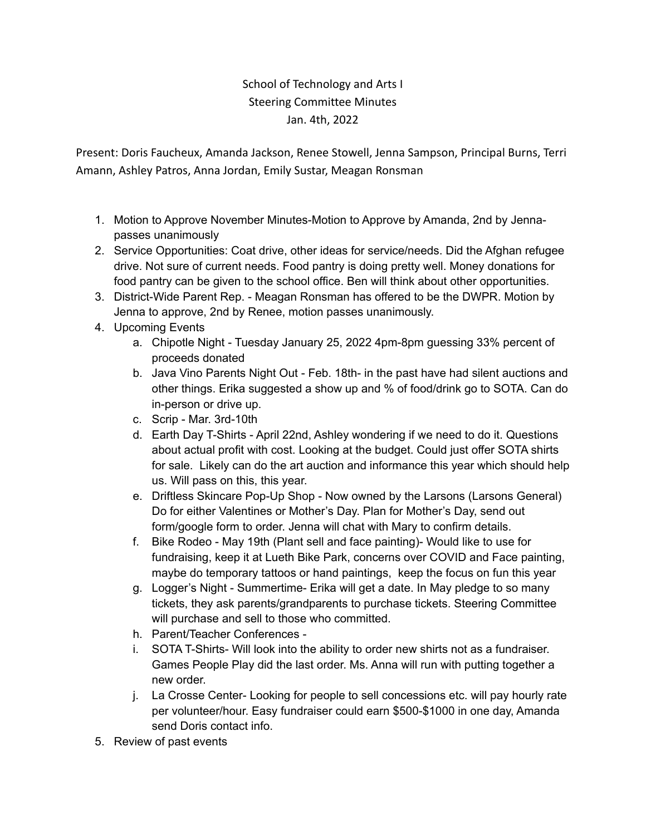## School of Technology and Arts I Steering Committee Minutes Jan. 4th, 2022

Present: Doris Faucheux, Amanda Jackson, Renee Stowell, Jenna Sampson, Principal Burns, Terri Amann, Ashley Patros, Anna Jordan, Emily Sustar, Meagan Ronsman

- 1. Motion to Approve November Minutes-Motion to Approve by Amanda, 2nd by Jennapasses unanimously
- 2. Service Opportunities: Coat drive, other ideas for service/needs. Did the Afghan refugee drive. Not sure of current needs. Food pantry is doing pretty well. Money donations for food pantry can be given to the school office. Ben will think about other opportunities.
- 3. District-Wide Parent Rep. Meagan Ronsman has offered to be the DWPR. Motion by Jenna to approve, 2nd by Renee, motion passes unanimously.
- 4. Upcoming Events
	- a. Chipotle Night Tuesday January 25, 2022 4pm-8pm guessing 33% percent of proceeds donated
	- b. Java Vino Parents Night Out Feb. 18th- in the past have had silent auctions and other things. Erika suggested a show up and % of food/drink go to SOTA. Can do in-person or drive up.
	- c. Scrip Mar. 3rd-10th
	- d. Earth Day T-Shirts April 22nd, Ashley wondering if we need to do it. Questions about actual profit with cost. Looking at the budget. Could just offer SOTA shirts for sale. Likely can do the art auction and informance this year which should help us. Will pass on this, this year.
	- e. Driftless Skincare Pop-Up Shop Now owned by the Larsons (Larsons General) Do for either Valentines or Mother's Day. Plan for Mother's Day, send out form/google form to order. Jenna will chat with Mary to confirm details.
	- f. Bike Rodeo May 19th (Plant sell and face painting)- Would like to use for fundraising, keep it at Lueth Bike Park, concerns over COVID and Face painting, maybe do temporary tattoos or hand paintings, keep the focus on fun this year
	- g. Logger's Night Summertime- Erika will get a date. In May pledge to so many tickets, they ask parents/grandparents to purchase tickets. Steering Committee will purchase and sell to those who committed.
	- h. Parent/Teacher Conferences -
	- i. SOTA T-Shirts- Will look into the ability to order new shirts not as a fundraiser. Games People Play did the last order. Ms. Anna will run with putting together a new order.
	- j. La Crosse Center- Looking for people to sell concessions etc. will pay hourly rate per volunteer/hour. Easy fundraiser could earn \$500-\$1000 in one day, Amanda send Doris contact info.
- 5. Review of past events